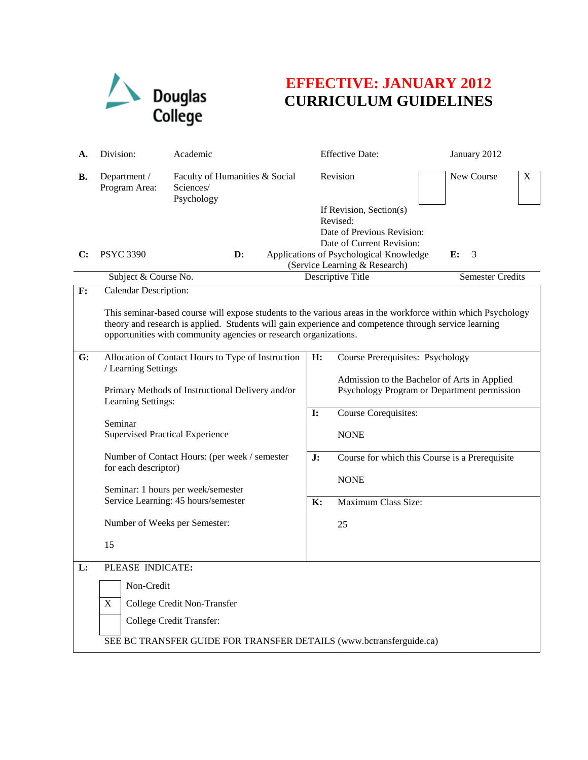

## **EFFECTIVE: JANUARY 2012 CURRICULUM GUIDELINES**

| А.             | Division:                                                                                                                                                                                                                                                                                                                                                                                             | Academic                                                  |                                  | <b>Effective Date:</b>                                                                                                                                                                                                                                                      |  | January 2012 |   |
|----------------|-------------------------------------------------------------------------------------------------------------------------------------------------------------------------------------------------------------------------------------------------------------------------------------------------------------------------------------------------------------------------------------------------------|-----------------------------------------------------------|----------------------------------|-----------------------------------------------------------------------------------------------------------------------------------------------------------------------------------------------------------------------------------------------------------------------------|--|--------------|---|
| В.             | Department /<br>Program Area:                                                                                                                                                                                                                                                                                                                                                                         | Faculty of Humanities & Social<br>Sciences/<br>Psychology |                                  | Revision<br>If Revision, Section(s)<br>Revised:<br>Date of Previous Revision:                                                                                                                                                                                               |  | New Course   | X |
| C:             | <b>PSYC 3390</b>                                                                                                                                                                                                                                                                                                                                                                                      | $\mathbf{D}$ :                                            |                                  | Date of Current Revision:<br>Applications of Psychological Knowledge<br>3<br>E:<br>(Service Learning & Research)                                                                                                                                                            |  |              |   |
|                | Subject & Course No.                                                                                                                                                                                                                                                                                                                                                                                  |                                                           |                                  | Descriptive Title<br><b>Semester Credits</b>                                                                                                                                                                                                                                |  |              |   |
| $\mathbf{F}$ : | Calendar Description:<br>This seminar-based course will expose students to the various areas in the workforce within which Psychology<br>theory and research is applied. Students will gain experience and competence through service learning<br>opportunities with community agencies or research organizations.                                                                                    |                                                           |                                  |                                                                                                                                                                                                                                                                             |  |              |   |
| G:             | Allocation of Contact Hours to Type of Instruction<br>/ Learning Settings<br>Primary Methods of Instructional Delivery and/or<br>Learning Settings:<br>Seminar<br><b>Supervised Practical Experience</b><br>Number of Contact Hours: (per week / semester<br>for each descriptor)<br>Seminar: 1 hours per week/semester<br>Service Learning: 45 hours/semester<br>Number of Weeks per Semester:<br>15 |                                                           | H:<br>$\mathbf{I}$ :<br>J:<br>K: | <b>Course Prerequisites: Psychology</b><br>Admission to the Bachelor of Arts in Applied<br>Psychology Program or Department permission<br>Course Corequisites:<br><b>NONE</b><br>Course for which this Course is a Prerequisite<br><b>NONE</b><br>Maximum Class Size:<br>25 |  |              |   |
| L:             | PLEASE INDICATE:<br>Non-Credit<br>$\mathbf X$<br>College Credit Non-Transfer<br>College Credit Transfer:<br>SEE BC TRANSFER GUIDE FOR TRANSFER DETAILS (www.bctransferguide.ca)                                                                                                                                                                                                                       |                                                           |                                  |                                                                                                                                                                                                                                                                             |  |              |   |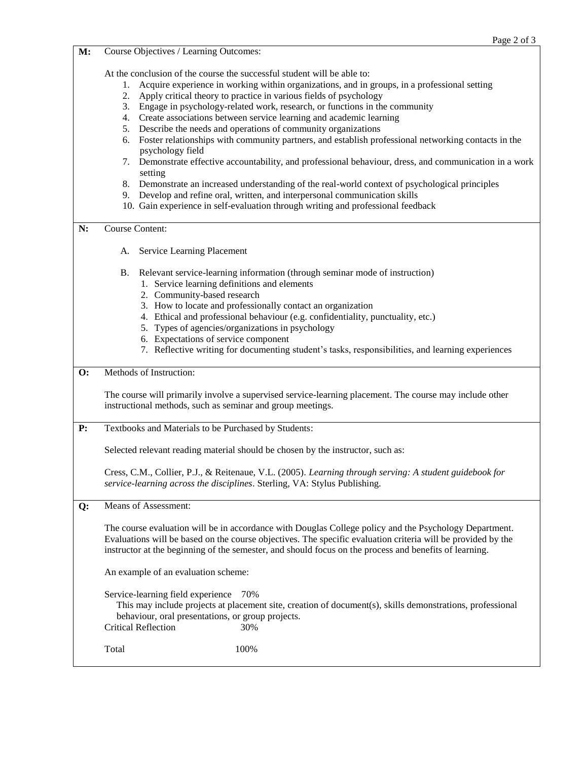**M:** Course Objectives / Learning Outcomes: At the conclusion of the course the successful student will be able to: 1. Acquire experience in working within organizations, and in groups, in a professional setting 2. Apply critical theory to practice in various fields of psychology 3. Engage in psychology-related work, research, or functions in the community 4. Create associations between service learning and academic learning 5. Describe the needs and operations of community organizations 6. Foster relationships with community partners, and establish professional networking contacts in the psychology field 7. Demonstrate effective accountability, and professional behaviour, dress, and communication in a work setting 8. Demonstrate an increased understanding of the real-world context of psychological principles 9. Develop and refine oral, written, and interpersonal communication skills 10. Gain experience in self-evaluation through writing and professional feedback **N:** Course Content: A. Service Learning Placement B. Relevant service-learning information (through seminar mode of instruction) 1. Service learning definitions and elements 2. Community-based research 3. How to locate and professionally contact an organization 4. Ethical and professional behaviour (e.g. confidentiality, punctuality, etc.) 5. Types of agencies/organizations in psychology 6. Expectations of service component 7. Reflective writing for documenting student's tasks, responsibilities, and learning experiences **O:** Methods of Instruction: The course will primarily involve a supervised service-learning placement. The course may include other instructional methods, such as seminar and group meetings. **P:** Textbooks and Materials to be Purchased by Students: Selected relevant reading material should be chosen by the instructor, such as: Cress, C.M., Collier, P.J., & Reitenaue, V.L. (2005). *Learning through serving: A student guidebook for service-learning across the disciplines*. Sterling, VA: Stylus Publishing. **Q:** Means of Assessment: The course evaluation will be in accordance with Douglas College policy and the Psychology Department. Evaluations will be based on the course objectives. The specific evaluation criteria will be provided by the instructor at the beginning of the semester, and should focus on the process and benefits of learning. An example of an evaluation scheme: Service-learning field experience 70% This may include projects at placement site, creation of document(s), skills demonstrations, professional behaviour, oral presentations, or group projects. Critical Reflection 30%

Total  $100\%$